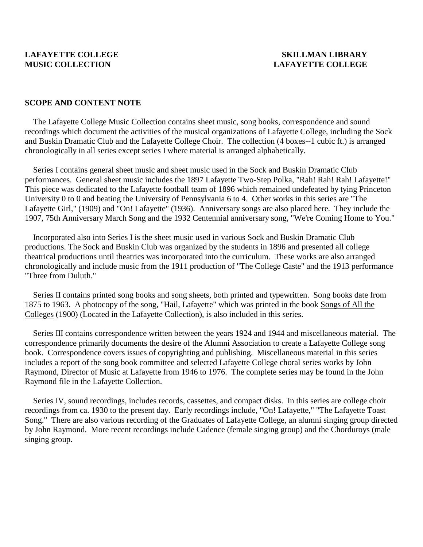### **LAFAYETTE COLLEGE SKILLMAN LIBRARY MUSIC COLLECTION LAFAYETTE COLLEGE**

#### **SCOPE AND CONTENT NOTE**

 The Lafayette College Music Collection contains sheet music, song books, correspondence and sound recordings which document the activities of the musical organizations of Lafayette College, including the Sock and Buskin Dramatic Club and the Lafayette College Choir. The collection (4 boxes--1 cubic ft.) is arranged chronologically in all series except series I where material is arranged alphabetically.

 Series I contains general sheet music and sheet music used in the Sock and Buskin Dramatic Club performances. General sheet music includes the 1897 Lafayette Two-Step Polka, "Rah! Rah! Rah! Lafayette!" This piece was dedicated to the Lafayette football team of 1896 which remained undefeated by tying Princeton University 0 to 0 and beating the University of Pennsylvania 6 to 4. Other works in this series are "The Lafayette Girl," (1909) and "On! Lafayette" (1936). Anniversary songs are also placed here. They include the 1907, 75th Anniversary March Song and the 1932 Centennial anniversary song, "We're Coming Home to You."

 Incorporated also into Series I is the sheet music used in various Sock and Buskin Dramatic Club productions. The Sock and Buskin Club was organized by the students in 1896 and presented all college theatrical productions until theatrics was incorporated into the curriculum. These works are also arranged chronologically and include music from the 1911 production of "The College Caste" and the 1913 performance "Three from Duluth."

 Series II contains printed song books and song sheets, both printed and typewritten. Song books date from 1875 to 1963. A photocopy of the song, "Hail, Lafayette" which was printed in the book Songs of All the Colleges (1900) (Located in the Lafayette Collection), is also included in this series.

 Series III contains correspondence written between the years 1924 and 1944 and miscellaneous material. The correspondence primarily documents the desire of the Alumni Association to create a Lafayette College song book. Correspondence covers issues of copyrighting and publishing. Miscellaneous material in this series includes a report of the song book committee and selected Lafayette College choral series works by John Raymond, Director of Music at Lafayette from 1946 to 1976. The complete series may be found in the John Raymond file in the Lafayette Collection.

 Series IV, sound recordings, includes records, cassettes, and compact disks. In this series are college choir recordings from ca. 1930 to the present day. Early recordings include, "On! Lafayette," "The Lafayette Toast Song." There are also various recording of the Graduates of Lafayette College, an alumni singing group directed by John Raymond. More recent recordings include Cadence (female singing group) and the Chorduroys (male singing group.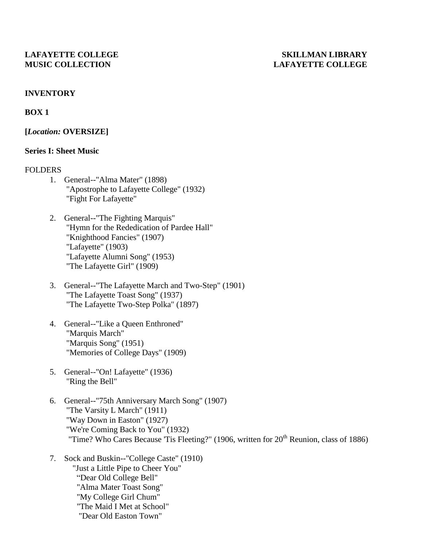# **INVENTORY**

# **BOX 1**

# **[***Location:* **OVERSIZE]**

### **Series I: Sheet Music**

### FOLDERS

- 1. General--"Alma Mater" (1898) "Apostrophe to Lafayette College" (1932) "Fight For Lafayette"
- 2. General--"The Fighting Marquis" "Hymn for the Rededication of Pardee Hall" "Knighthood Fancies" (1907) "Lafayette" (1903) "Lafayette Alumni Song" (1953) "The Lafayette Girl" (1909)
- 3. General--"The Lafayette March and Two-Step" (1901) "The Lafayette Toast Song" (1937) "The Lafayette Two-Step Polka" (1897)
- 4. General--"Like a Queen Enthroned" "Marquis March" "Marquis Song" (1951) "Memories of College Days" (1909)
- 5. General--"On! Lafayette" (1936) "Ring the Bell"
- 6. General--"75th Anniversary March Song" (1907) "The Varsity L March" (1911) "Way Down in Easton" (1927) "We're Coming Back to You" (1932) "Time? Who Cares Because 'Tis Fleeting?" (1906, written for  $20<sup>th</sup>$  Reunion, class of 1886)
- 7. Sock and Buskin--"College Caste" (1910) "Just a Little Pipe to Cheer You" "Dear Old College Bell" "Alma Mater Toast Song" "My College Girl Chum" "The Maid I Met at School" "Dear Old Easton Town"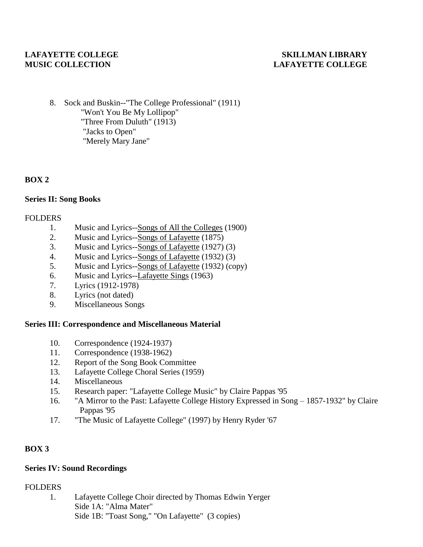# **LAFAYETTE COLLEGE SKILLMAN LIBRARY**

# **MUSIC COLLECTION LAFAYETTE COLLEGE**

8. Sock and Buskin--"The College Professional" (1911) "Won't You Be My Lollipop" "Three From Duluth" (1913) "Jacks to Open" "Merely Mary Jane"

# **BOX 2**

### **Series II: Song Books**

#### FOLDERS

- 1. Music and Lyrics--Songs of All the Colleges (1900)
- 2. Music and Lyrics--Songs of Lafayette (1875)
- 3. Music and Lyrics--Songs of Lafayette (1927) (3)
- 4. Music and Lyrics--Songs of Lafayette (1932) (3)
- 5. Music and Lyrics--Songs of Lafayette (1932) (copy)
- 6. Music and Lyrics--Lafayette Sings (1963)
- 7. Lyrics (1912-1978)
- 8. Lyrics (not dated)
- 9. Miscellaneous Songs

#### **Series III: Correspondence and Miscellaneous Material**

- 10. Correspondence (1924-1937)
- 11. Correspondence (1938-1962)
- 12. Report of the Song Book Committee
- 13. Lafayette College Choral Series (1959)
- 14. Miscellaneous
- 15. Research paper: "Lafayette College Music" by Claire Pappas '95
- 16. "A Mirror to the Past: Lafayette College History Expressed in Song 1857-1932" by Claire Pappas '95
- 17. "The Music of Lafayette College" (1997) by Henry Ryder '67

# **BOX 3**

#### **Series IV: Sound Recordings**

#### FOLDERS

1. Lafayette College Choir directed by Thomas Edwin Yerger Side 1A: "Alma Mater" Side 1B: "Toast Song," "On Lafayette" (3 copies)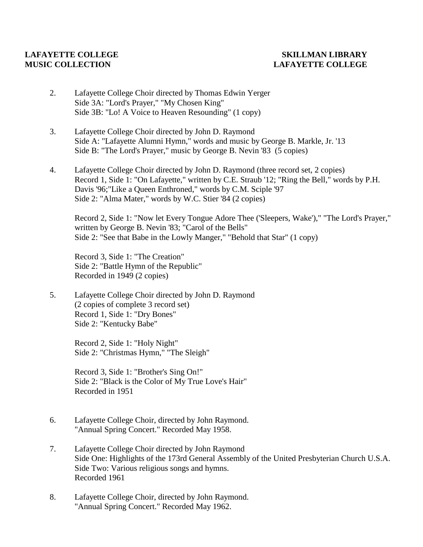# **LAFAYETTE COLLEGE SKILLMAN LIBRARY MUSIC COLLECTION LAFAYETTE COLLEGE**

- 2. Lafayette College Choir directed by Thomas Edwin Yerger Side 3A: "Lord's Prayer," "My Chosen King" Side 3B: "Lo! A Voice to Heaven Resounding" (1 copy)
- 3. Lafayette College Choir directed by John D. Raymond Side A: "Lafayette Alumni Hymn," words and music by George B. Markle, Jr. '13 Side B: "The Lord's Prayer," music by George B. Nevin '83 (5 copies)
- 4. Lafayette College Choir directed by John D. Raymond (three record set, 2 copies) Record 1, Side 1: "On Lafayette," written by C.E. Straub '12; "Ring the Bell," words by P.H. Davis '96;"Like a Queen Enthroned," words by C.M. Sciple '97 Side 2: "Alma Mater," words by W.C. Stier '84 (2 copies)

Record 2, Side 1: "Now let Every Tongue Adore Thee ('Sleepers, Wake')," "The Lord's Prayer," written by George B. Nevin '83; "Carol of the Bells" Side 2: "See that Babe in the Lowly Manger," "Behold that Star" (1 copy)

 Record 3, Side 1: "The Creation" Side 2: "Battle Hymn of the Republic" Recorded in 1949 (2 copies)

5. Lafayette College Choir directed by John D. Raymond (2 copies of complete 3 record set) Record 1, Side 1: "Dry Bones" Side 2: "Kentucky Babe"

> Record 2, Side 1: "Holy Night" Side 2: "Christmas Hymn," "The Sleigh"

 Record 3, Side 1: "Brother's Sing On!" Side 2: "Black is the Color of My True Love's Hair" Recorded in 1951

- 6. Lafayette College Choir, directed by John Raymond. "Annual Spring Concert." Recorded May 1958.
- 7. Lafayette College Choir directed by John Raymond Side One: Highlights of the 173rd General Assembly of the United Presbyterian Church U.S.A. Side Two: Various religious songs and hymns. Recorded 1961
- 8. Lafayette College Choir, directed by John Raymond. "Annual Spring Concert." Recorded May 1962.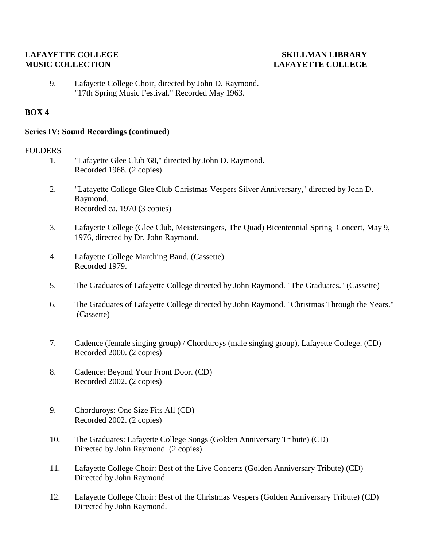# **LAFAYETTE COLLEGE SKILLMAN LIBRARY MUSIC COLLECTION LAFAYETTE COLLEGE**

9. Lafayette College Choir, directed by John D. Raymond. "17th Spring Music Festival." Recorded May 1963.

# **BOX 4**

### **Series IV: Sound Recordings (continued)**

### **FOLDERS**

- 1. "Lafayette Glee Club '68," directed by John D. Raymond. Recorded 1968. (2 copies)
- 2. "Lafayette College Glee Club Christmas Vespers Silver Anniversary," directed by John D. Raymond. Recorded ca. 1970 (3 copies)
- 3. Lafayette College (Glee Club, Meistersingers, The Quad) Bicentennial Spring Concert, May 9, 1976, directed by Dr. John Raymond.
- 4. Lafayette College Marching Band. (Cassette) Recorded 1979.
- 5. The Graduates of Lafayette College directed by John Raymond. "The Graduates." (Cassette)
- 6. The Graduates of Lafayette College directed by John Raymond. "Christmas Through the Years." (Cassette)
- 7. Cadence (female singing group) / Chorduroys (male singing group), Lafayette College. (CD) Recorded 2000. (2 copies)
- 8. Cadence: Beyond Your Front Door. (CD) Recorded 2002. (2 copies)
- 9. Chorduroys: One Size Fits All (CD) Recorded 2002. (2 copies)
- 10. The Graduates: Lafayette College Songs (Golden Anniversary Tribute) (CD) Directed by John Raymond. (2 copies)
- 11. Lafayette College Choir: Best of the Live Concerts (Golden Anniversary Tribute) (CD) Directed by John Raymond.
- 12. Lafayette College Choir: Best of the Christmas Vespers (Golden Anniversary Tribute) (CD) Directed by John Raymond.